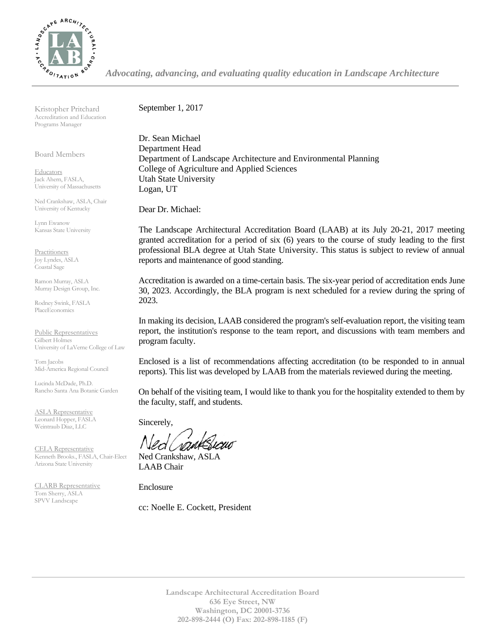

*Advocating, advancing, and evaluating quality education in Landscape Architecture*

Kristopher Pritchard Accreditation and Education Programs Manager

Board Members

**Educators** Jack Ahern, FASLA, University of Massachusetts

Ned Crankshaw, ASLA, Chair University of Kentucky

Lynn Ewanow Kansas State University

**Practitioners** Joy Lyndes, ASLA Coastal Sage

Ramon Murray, ASLA Murray Design Group, Inc.

Rodney Swink, FASLA PlaceEconomics

Public Representatives Gilbert Holmes University of LaVerne College of Law

Tom Jacobs Mid-America Regional Council

Lucinda McDade, Ph.D. Rancho Santa Ana Botanic Garden

ASLA Representative Leonard Hopper, FASLA Weintraub Diaz, LLC

CELA Representative Kenneth Brooks., FASLA, Chair-Elect Arizona State University

CLARB Representative Tom Sherry, ASLA SPVV Landscape

September 1, 2017

Dr. Sean Michael Department Head Department of Landscape Architecture and Environmental Planning College of Agriculture and Applied Sciences Utah State University Logan, UT

Dear Dr. Michael:

The Landscape Architectural Accreditation Board (LAAB) at its July 20-21, 2017 meeting granted accreditation for a period of six (6) years to the course of study leading to the first professional BLA degree at Utah State University. This status is subject to review of annual reports and maintenance of good standing.

Accreditation is awarded on a time-certain basis. The six-year period of accreditation ends June 30, 2023. Accordingly, the BLA program is next scheduled for a review during the spring of 2023.

In making its decision, LAAB considered the program's self-evaluation report, the visiting team report, the institution's response to the team report, and discussions with team members and program faculty.

Enclosed is a list of recommendations affecting accreditation (to be responded to in annual reports). This list was developed by LAAB from the materials reviewed during the meeting.

On behalf of the visiting team, I would like to thank you for the hospitality extended to them by the faculty, staff, and students.

Sincerely,

Ned Crankshaw, ASLA LAAB Chair

Enclosure

cc: Noelle E. Cockett, President